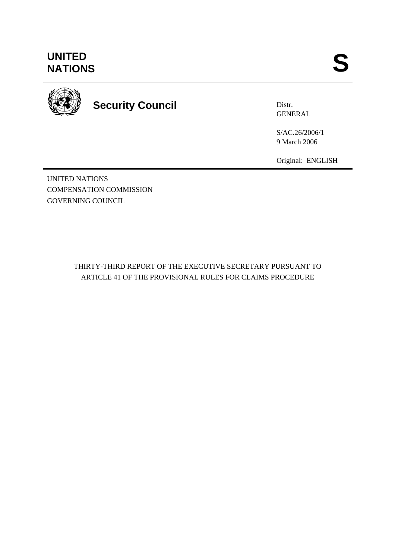# **UNITED<br>NATIONS** UNITED<br>NATIONS **S**



# **Security Council**

Distr. **GENERAL** 

S/AC.26/2006/1 9 March 2006

Original: ENGLISH

UNITED NATIONS COMPENSATION COMMISSION GOVERNING COUNCIL

# THIRTY-THIRD REPORT OF THE EXECUTIVE SECRETARY PURSUANT TO ARTICLE 41 OF THE PROVISIONAL RULES FOR CLAIMS PROCEDURE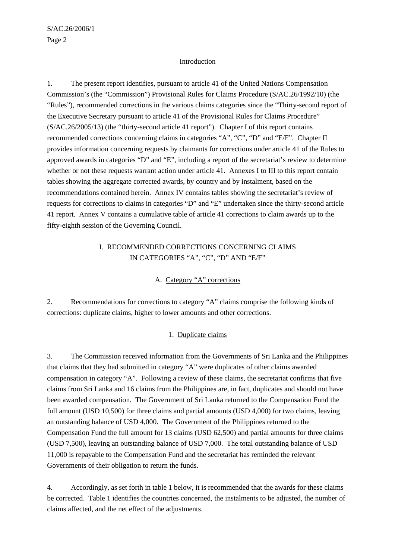#### Introduction

1. The present report identifies, pursuant to article 41 of the United Nations Compensation Commission's (the "Commission") Provisional Rules for Claims Procedure (S/AC.26/1992/10) (the "Rules"), recommended corrections in the various claims categories since the "Thirty-second report of the Executive Secretary pursuant to article 41 of the Provisional Rules for Claims Procedure" (S/AC.26/2005/13) (the "thirty-second article 41 report"). Chapter I of this report contains recommended corrections concerning claims in categories "A", "C", "D" and "E/F". Chapter II provides information concerning requests by claimants for corrections under article 41 of the Rules to approved awards in categories "D" and "E", including a report of the secretariat's review to determine whether or not these requests warrant action under article 41. Annexes I to III to this report contain tables showing the aggregate corrected awards, by country and by instalment, based on the recommendations contained herein. Annex IV contains tables showing the secretariat's review of requests for corrections to claims in categories "D" and "E" undertaken since the thirty-second article 41 report. Annex V contains a cumulative table of article 41 corrections to claim awards up to the fifty-eighth session of the Governing Council.

# I. RECOMMENDED CORRECTIONS CONCERNING CLAIMS IN CATEGORIES "A", "C", "D" AND "E/F"

#### A. Category "A" corrections

2. Recommendations for corrections to category "A" claims comprise the following kinds of corrections: duplicate claims, higher to lower amounts and other corrections.

#### 1. Duplicate claims

3. The Commission received information from the Governments of Sri Lanka and the Philippines that claims that they had submitted in category "A" were duplicates of other claims awarded compensation in category "A". Following a review of these claims, the secretariat confirms that five claims from Sri Lanka and 16 claims from the Philippines are, in fact, duplicates and should not have been awarded compensation. The Government of Sri Lanka returned to the Compensation Fund the full amount (USD 10,500) for three claims and partial amounts (USD 4,000) for two claims, leaving an outstanding balance of USD 4,000. The Government of the Philippines returned to the Compensation Fund the full amount for 13 claims (USD 62,500) and partial amounts for three claims (USD 7,500), leaving an outstanding balance of USD 7,000. The total outstanding balance of USD 11,000 is repayable to the Compensation Fund and the secretariat has reminded the relevant Governments of their obligation to return the funds.

4. Accordingly, as set forth in table 1 below, it is recommended that the awards for these claims be corrected. Table 1 identifies the countries concerned, the instalments to be adjusted, the number of claims affected, and the net effect of the adjustments.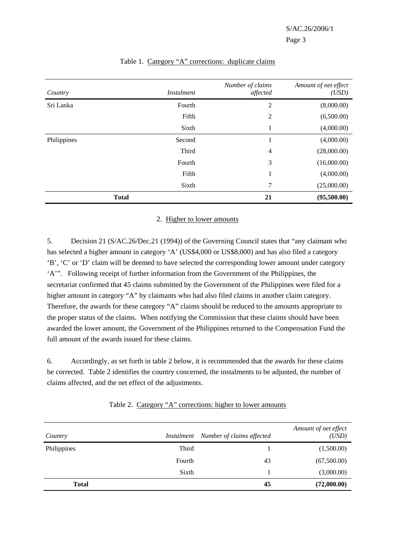| Country      | <i>Instalment</i> | Number of claims<br>affected | Amount of net effect<br>(USD) |
|--------------|-------------------|------------------------------|-------------------------------|
| Sri Lanka    | Fourth            | $\overline{2}$               | (8,000.00)                    |
|              | Fifth             | $\overline{c}$               | (6,500.00)                    |
|              | Sixth             | 1                            | (4,000.00)                    |
| Philippines  | Second            | 1                            | (4,000.00)                    |
|              | Third             | $\overline{4}$               | (28,000.00)                   |
|              | Fourth            | 3                            | (16,000.00)                   |
|              | Fifth             | 1                            | (4,000.00)                    |
|              | Sixth             | 7                            | (25,000.00)                   |
| <b>Total</b> |                   | 21                           | (95,500.00)                   |

#### Table 1. Category "A" corrections: duplicate claims

#### 2. Higher to lower amounts

5. Decision 21 (S/AC.26/Dec.21 (1994)) of the Governing Council states that "any claimant who has selected a higher amount in category 'A' (US\$4,000 or US\$8,000) and has also filed a category 'B', 'C' or 'D' claim will be deemed to have selected the corresponding lower amount under category 'A'". Following receipt of further information from the Government of the Philippines, the secretariat confirmed that 45 claims submitted by the Government of the Philippines were filed for a higher amount in category "A" by claimants who had also filed claims in another claim category. Therefore, the awards for these category "A" claims should be reduced to the amounts appropriate to the proper status of the claims. When notifying the Commission that these claims should have been awarded the lower amount, the Government of the Philippines returned to the Compensation Fund the full amount of the awards issued for these claims.

6. Accordingly, as set forth in table 2 below, it is recommended that the awards for these claims be corrected. Table 2 identifies the country concerned, the instalments to be adjusted, the number of claims affected, and the net effect of the adjustments.

|  | Table 2. Category "A" corrections: higher to lower amounts |  |  |
|--|------------------------------------------------------------|--|--|
|  |                                                            |  |  |

| Country      | Instalment | Number of claims affected | Amount of net effect<br>(USD) |
|--------------|------------|---------------------------|-------------------------------|
| Philippines  | Third      |                           | (1,500.00)                    |
|              | Fourth     | 43                        | (67,500.00)                   |
|              | Sixth      |                           | (3,000.00)                    |
| <b>Total</b> |            | 45                        | (72,000.00)                   |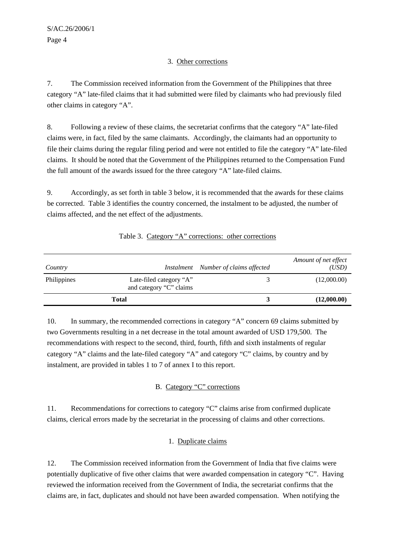## 3. Other corrections

7. The Commission received information from the Government of the Philippines that three category "A" late-filed claims that it had submitted were filed by claimants who had previously filed other claims in category "A".

8. Following a review of these claims, the secretariat confirms that the category "A" late-filed claims were, in fact, filed by the same claimants. Accordingly, the claimants had an opportunity to file their claims during the regular filing period and were not entitled to file the category "A" late-filed claims. It should be noted that the Government of the Philippines returned to the Compensation Fund the full amount of the awards issued for the three category "A" late-filed claims.

9. Accordingly, as set forth in table 3 below, it is recommended that the awards for these claims be corrected. Table 3 identifies the country concerned, the instalment to be adjusted, the number of claims affected, and the net effect of the adjustments.

| Country            |                                                    | Instalment Number of claims affected | Amount of net effect<br>(USD) |
|--------------------|----------------------------------------------------|--------------------------------------|-------------------------------|
| <b>Philippines</b> | Late-filed category "A"<br>and category "C" claims |                                      | (12,000.00)                   |
|                    | Total                                              |                                      | (12,000.00)                   |

# Table 3. Category "A" corrections: other corrections

10. In summary, the recommended corrections in category "A" concern 69 claims submitted by two Governments resulting in a net decrease in the total amount awarded of USD 179,500. The recommendations with respect to the second, third, fourth, fifth and sixth instalments of regular category "A" claims and the late-filed category "A" and category "C" claims, by country and by instalment, are provided in tables 1 to 7 of annex I to this report.

# B. Category "C" corrections

11. Recommendations for corrections to category "C" claims arise from confirmed duplicate claims, clerical errors made by the secretariat in the processing of claims and other corrections.

# 1. Duplicate claims

12. The Commission received information from the Government of India that five claims were potentially duplicative of five other claims that were awarded compensation in category "C". Having reviewed the information received from the Government of India, the secretariat confirms that the claims are, in fact, duplicates and should not have been awarded compensation. When notifying the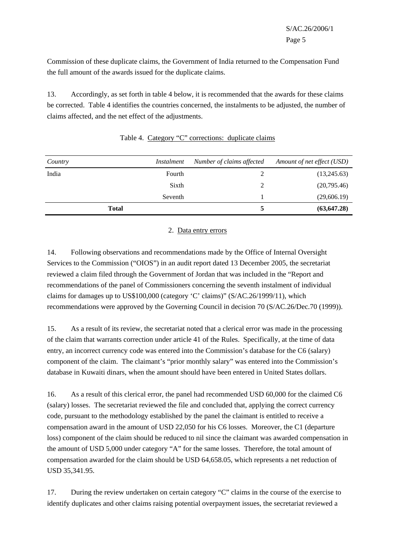Commission of these duplicate claims, the Government of India returned to the Compensation Fund the full amount of the awards issued for the duplicate claims.

13. Accordingly, as set forth in table 4 below, it is recommended that the awards for these claims be corrected. Table 4 identifies the countries concerned, the instalments to be adjusted, the number of claims affected, and the net effect of the adjustments.

| Country      | Instalment | Number of claims affected | Amount of net effect (USD) |
|--------------|------------|---------------------------|----------------------------|
| India        | Fourth     |                           | (13,245.63)                |
|              | Sixth      | ∍                         | (20,795.46)                |
|              | Seventh    |                           | (29,606.19)                |
| <b>Total</b> |            |                           | (63, 647.28)               |

# Table 4. Category "C" corrections: duplicate claims

#### 2. Data entry errors

14. Following observations and recommendations made by the Office of Internal Oversight Services to the Commission ("OIOS") in an audit report dated 13 December 2005, the secretariat reviewed a claim filed through the Government of Jordan that was included in the "Report and recommendations of the panel of Commissioners concerning the seventh instalment of individual claims for damages up to US\$100,000 (category 'C' claims)" (S/AC.26/1999/11), which recommendations were approved by the Governing Council in decision 70 (S/AC.26/Dec.70 (1999)).

15. As a result of its review, the secretariat noted that a clerical error was made in the processing of the claim that warrants correction under article 41 of the Rules. Specifically, at the time of data entry, an incorrect currency code was entered into the Commission's database for the C6 (salary) component of the claim. The claimant's "prior monthly salary" was entered into the Commission's database in Kuwaiti dinars, when the amount should have been entered in United States dollars.

16. As a result of this clerical error, the panel had recommended USD 60,000 for the claimed C6 (salary) losses. The secretariat reviewed the file and concluded that, applying the correct currency code, pursuant to the methodology established by the panel the claimant is entitled to receive a compensation award in the amount of USD 22,050 for his C6 losses. Moreover, the C1 (departure loss) component of the claim should be reduced to nil since the claimant was awarded compensation in the amount of USD 5,000 under category "A" for the same losses. Therefore, the total amount of compensation awarded for the claim should be USD 64,658.05, which represents a net reduction of USD 35,341.95.

17. During the review undertaken on certain category "C" claims in the course of the exercise to identify duplicates and other claims raising potential overpayment issues, the secretariat reviewed a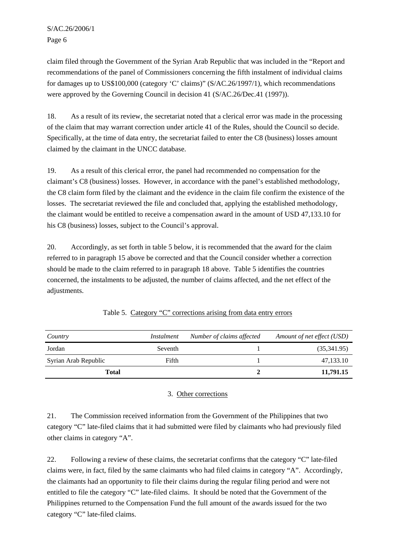claim filed through the Government of the Syrian Arab Republic that was included in the "Report and recommendations of the panel of Commissioners concerning the fifth instalment of individual claims for damages up to US\$100,000 (category 'C' claims)" (S/AC.26/1997/1), which recommendations were approved by the Governing Council in decision 41 (S/AC.26/Dec.41 (1997)).

18. As a result of its review, the secretariat noted that a clerical error was made in the processing of the claim that may warrant correction under article 41 of the Rules, should the Council so decide. Specifically, at the time of data entry, the secretariat failed to enter the C8 (business) losses amount claimed by the claimant in the UNCC database.

19. As a result of this clerical error, the panel had recommended no compensation for the claimant's C8 (business) losses. However, in accordance with the panel's established methodology, the C8 claim form filed by the claimant and the evidence in the claim file confirm the existence of the losses. The secretariat reviewed the file and concluded that, applying the established methodology, the claimant would be entitled to receive a compensation award in the amount of USD 47,133.10 for his C8 (business) losses, subject to the Council's approval.

20. Accordingly, as set forth in table 5 below, it is recommended that the award for the claim referred to in paragraph 15 above be corrected and that the Council consider whether a correction should be made to the claim referred to in paragraph 18 above. Table 5 identifies the countries concerned, the instalments to be adjusted, the number of claims affected, and the net effect of the adjustments.

| Country              | Instalment | Number of claims affected | Amount of net effect (USD) |
|----------------------|------------|---------------------------|----------------------------|
| Jordan               | Seventh    |                           | (35,341.95)                |
| Syrian Arab Republic | Fifth      |                           | 47,133.10                  |
| <b>Total</b>         |            |                           | 11,791.15                  |

Table 5. Category "C" corrections arising from data entry errors

# 3. Other corrections

21. The Commission received information from the Government of the Philippines that two category "C" late-filed claims that it had submitted were filed by claimants who had previously filed other claims in category "A".

22. Following a review of these claims, the secretariat confirms that the category "C" late-filed claims were, in fact, filed by the same claimants who had filed claims in category "A". Accordingly, the claimants had an opportunity to file their claims during the regular filing period and were not entitled to file the category "C" late-filed claims. It should be noted that the Government of the Philippines returned to the Compensation Fund the full amount of the awards issued for the two category "C" late-filed claims.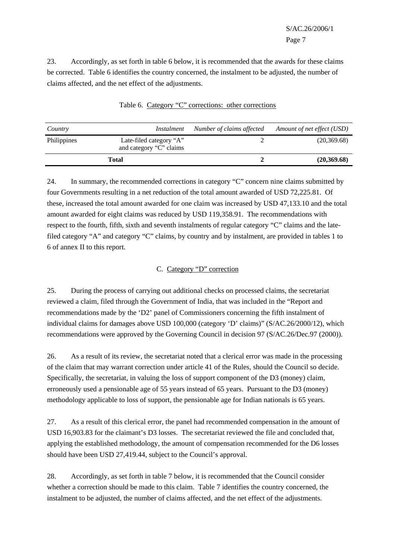23. Accordingly, as set forth in table 6 below, it is recommended that the awards for these claims be corrected. Table 6 identifies the country concerned, the instalment to be adjusted, the number of claims affected, and the net effect of the adjustments.

| Country     | Instalment                                         | Number of claims affected | Amount of net effect (USD) |
|-------------|----------------------------------------------------|---------------------------|----------------------------|
| Philippines | Late-filed category "A"<br>and category "C" claims |                           | (20, 369.68)               |
|             | <b>Total</b>                                       |                           | (20,369.68)                |

Table 6. Category "C" corrections: other corrections

24. In summary, the recommended corrections in category "C" concern nine claims submitted by four Governments resulting in a net reduction of the total amount awarded of USD 72,225.81. Of these, increased the total amount awarded for one claim was increased by USD 47,133.10 and the total amount awarded for eight claims was reduced by USD 119,358.91. The recommendations with respect to the fourth, fifth, sixth and seventh instalments of regular category "C" claims and the latefiled category "A" and category "C" claims, by country and by instalment, are provided in tables 1 to 6 of annex II to this report.

# C. Category "D" correction

25. During the process of carrying out additional checks on processed claims, the secretariat reviewed a claim, filed through the Government of India, that was included in the "Report and recommendations made by the 'D2' panel of Commissioners concerning the fifth instalment of individual claims for damages above USD 100,000 (category 'D' claims)" (S/AC.26/2000/12), which recommendations were approved by the Governing Council in decision 97 (S/AC.26/Dec.97 (2000)).

26. As a result of its review, the secretariat noted that a clerical error was made in the processing of the claim that may warrant correction under article 41 of the Rules, should the Council so decide. Specifically, the secretariat, in valuing the loss of support component of the D3 (money) claim, erroneously used a pensionable age of 55 years instead of 65 years. Pursuant to the D3 (money) methodology applicable to loss of support, the pensionable age for Indian nationals is 65 years.

27. As a result of this clerical error, the panel had recommended compensation in the amount of USD 16,903.83 for the claimant's D3 losses. The secretariat reviewed the file and concluded that, applying the established methodology, the amount of compensation recommended for the D6 losses should have been USD 27,419.44, subject to the Council's approval.

28. Accordingly, as set forth in table 7 below, it is recommended that the Council consider whether a correction should be made to this claim. Table 7 identifies the country concerned, the instalment to be adjusted, the number of claims affected, and the net effect of the adjustments.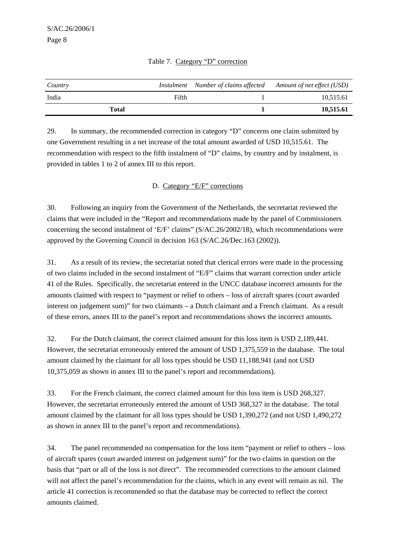| Country |       | Instalment Number of claims affected | Amount of net effect (USD) |
|---------|-------|--------------------------------------|----------------------------|
| India   | Fifth |                                      | 10,515.61                  |
| Total   |       |                                      | 10,515.61                  |

#### Table 7. Category "D" correction

29. In summary, the recommended correction in category "D" concerns one claim submitted by one Government resulting in a net increase of the total amount awarded of USD 10,515.61. The recommendation with respect to the fifth instalment of "D" claims, by country and by instalment, is provided in tables 1 to 2 of annex III to this report.

#### D. Category "E/F" corrections

30. Following an inquiry from the Government of the Netherlands, the secretariat reviewed the claims that were included in the "Report and recommendations made by the panel of Commissioners concerning the second instalment of 'E/F' claims" (S/AC.26/2002/18), which recommendations were approved by the Governing Council in decision 163 (S/AC.26/Dec.163 (2002)).

31. As a result of its review, the secretariat noted that clerical errors were made in the processing of two claims included in the second instalment of "E/F" claims that warrant correction under article 41 of the Rules. Specifically, the secretariat entered in the UNCC database incorrect amounts for the amounts claimed with respect to "payment or relief to others – loss of aircraft spares (court awarded interest on judgement sum)" for two claimants – a Dutch claimant and a French claimant. As a result of these errors, annex III to the panel's report and recommendations shows the incorrect amounts.

32. For the Dutch claimant, the correct claimed amount for this loss item is USD 2,189,441. However, the secretariat erroneously entered the amount of USD 1,375,559 in the database. The total amount claimed by the claimant for all loss types should be USD 11,188,941 (and not USD 10,375,059 as shown in annex III to the panel's report and recommendations).

33. For the French claimant, the correct claimed amount for this loss item is USD 268,327. However, the secretariat erroneously entered the amount of USD 368,327 in the database. The total amount claimed by the claimant for all loss types should be USD 1,390,272 (and not USD 1,490,272 as shown in annex III to the panel's report and recommendations).

34. The panel recommended no compensation for the loss item "payment or relief to others – loss of aircraft spares (court awarded interest on judgement sum)" for the two claims in question on the basis that "part or all of the loss is not direct". The recommended corrections to the amount claimed will not affect the panel's recommendation for the claims, which in any event will remain as nil. The article 41 correction is recommended so that the database may be corrected to reflect the correct amounts claimed.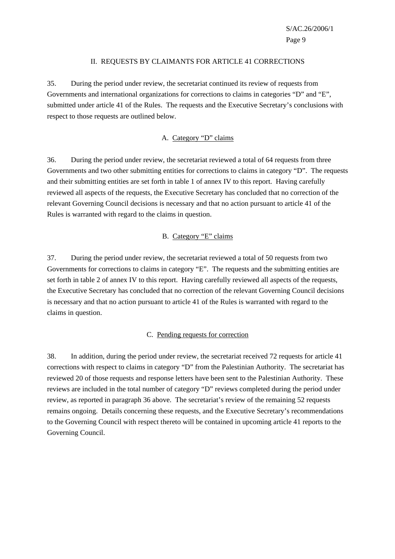#### II. REQUESTS BY CLAIMANTS FOR ARTICLE 41 CORRECTIONS

35. During the period under review, the secretariat continued its review of requests from Governments and international organizations for corrections to claims in categories "D" and "E", submitted under article 41 of the Rules. The requests and the Executive Secretary's conclusions with respect to those requests are outlined below.

#### A. Category "D" claims

36. During the period under review, the secretariat reviewed a total of 64 requests from three Governments and two other submitting entities for corrections to claims in category "D". The requests and their submitting entities are set forth in table 1 of annex IV to this report. Having carefully reviewed all aspects of the requests, the Executive Secretary has concluded that no correction of the relevant Governing Council decisions is necessary and that no action pursuant to article 41 of the Rules is warranted with regard to the claims in question.

#### B. Category "E" claims

37. During the period under review, the secretariat reviewed a total of 50 requests from two Governments for corrections to claims in category "E". The requests and the submitting entities are set forth in table 2 of annex IV to this report. Having carefully reviewed all aspects of the requests, the Executive Secretary has concluded that no correction of the relevant Governing Council decisions is necessary and that no action pursuant to article 41 of the Rules is warranted with regard to the claims in question.

#### C. Pending requests for correction

38. In addition, during the period under review, the secretariat received 72 requests for article 41 corrections with respect to claims in category "D" from the Palestinian Authority. The secretariat has reviewed 20 of those requests and response letters have been sent to the Palestinian Authority. These reviews are included in the total number of category "D" reviews completed during the period under review, as reported in paragraph 36 above. The secretariat's review of the remaining 52 requests remains ongoing. Details concerning these requests, and the Executive Secretary's recommendations to the Governing Council with respect thereto will be contained in upcoming article 41 reports to the Governing Council.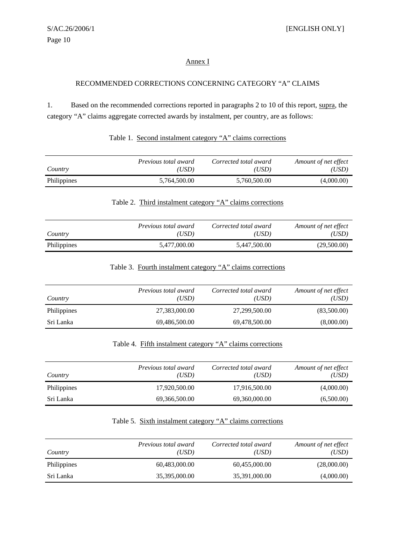#### Annex I

#### RECOMMENDED CORRECTIONS CONCERNING CATEGORY "A" CLAIMS

1. Based on the recommended corrections reported in paragraphs 2 to 10 of this report, supra, the category "A" claims aggregate corrected awards by instalment, per country, are as follows:

| Table 1. Second instalment category "A" claims corrections |  |
|------------------------------------------------------------|--|
|                                                            |  |

| Country     | Previous total award | Corrected total award | Amount of net effect |
|-------------|----------------------|-----------------------|----------------------|
|             | 'USD)                | (USD)                 | (USD)                |
| Philippines | 5,764,500.00         | 5,760,500.00          | (4,000.00)           |

# Table 2. Third instalment category "A" claims corrections

| Country     | <i>Previous total award</i> | Corrected total award | Amount of net effect |
|-------------|-----------------------------|-----------------------|----------------------|
|             | 'USD)                       | (USD)                 | (USD)                |
| Philippines | 5,477,000.00                | 5,447,500.00          | (29,500.00)          |

#### Table 3. Fourth instalment category "A" claims corrections

| Country     | Previous total award<br>'USD) | Corrected total award<br>(USD) | Amount of net effect<br>(USD) |
|-------------|-------------------------------|--------------------------------|-------------------------------|
| Philippines | 27,383,000.00                 | 27.299.500.00                  | (83,500.00)                   |
| Sri Lanka   | 69,486,500.00                 | 69,478,500.00                  | (8,000.00)                    |

# Table 4. Fifth instalment category "A" claims corrections

| Country            | Previous total award<br>(USD) | Corrected total award<br>(USD) | Amount of net effect<br>(USD) |
|--------------------|-------------------------------|--------------------------------|-------------------------------|
| <b>Philippines</b> | 17,920,500.00                 | 17,916,500.00                  | (4,000.00)                    |
| Sri Lanka          | 69,366,500.00                 | 69,360,000.00                  | (6,500.00)                    |

## Table 5. Sixth instalment category "A" claims corrections

| Country            | <i>Previous total award</i><br>(USD) | Corrected total award<br>(USD) | Amount of net effect<br>'USD) |
|--------------------|--------------------------------------|--------------------------------|-------------------------------|
| <b>Philippines</b> | 60,483,000.00                        | 60,455,000.00                  | (28,000.00)                   |
| Sri Lanka          | 35,395,000.00                        | 35,391,000.00                  | (4,000.00)                    |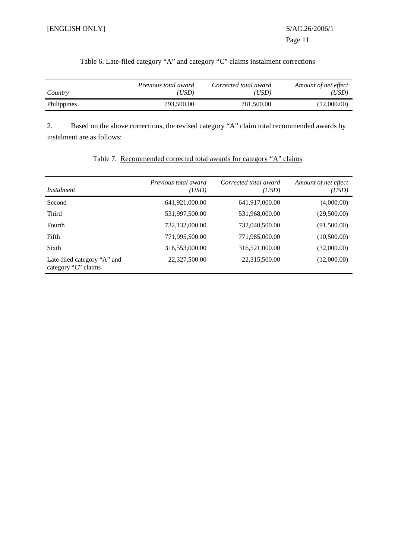|  |  | Table 6. Late-filed category "A" and category "C" claims instalment corrections |
|--|--|---------------------------------------------------------------------------------|
|  |  |                                                                                 |

| Country     | <i>Previous total award</i> | Corrected total award | Amount of net effect |
|-------------|-----------------------------|-----------------------|----------------------|
|             | USD).                       | (USD)                 | 'USD)                |
| Philippines | 793,500.00                  | 781,500.00            | (12,000.00)          |

2. Based on the above corrections, the revised category "A" claim total recommended awards by instalment are as follows:

| <i>Instalment</i>                                  | Previous total award<br>(USD) | Corrected total award<br>(USD) | Amount of net effect<br>(USD) |
|----------------------------------------------------|-------------------------------|--------------------------------|-------------------------------|
| Second                                             | 641,921,000.00                | 641,917,000.00                 | (4,000.00)                    |
| Third                                              | 531,997,500.00                | 531,968,000.00                 | (29,500.00)                   |
| Fourth                                             | 732,132,000.00                | 732,040,500.00                 | (91,500.00)                   |
| Fifth                                              | 771,995,500.00                | 771,985,000.00                 | (10,500.00)                   |
| Sixth                                              | 316,553,000.00                | 316,521,000.00                 | (32,000.00)                   |
| Late-filed category "A" and<br>category "C" claims | 22,327,500.00                 | 22,315,500.00                  | (12,000.00)                   |

# Table 7. Recommended corrected total awards for category "A" claims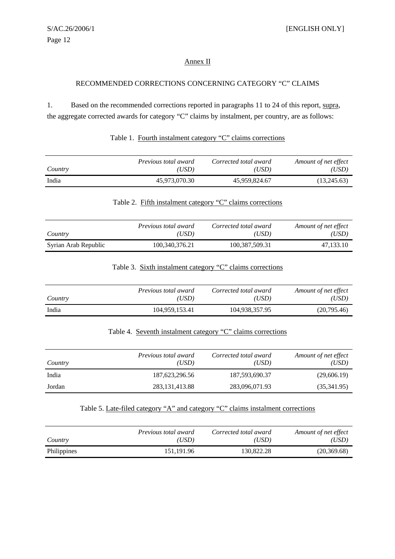#### Annex II

#### RECOMMENDED CORRECTIONS CONCERNING CATEGORY "C" CLAIMS

1. Based on the recommended corrections reported in paragraphs 11 to 24 of this report, supra, the aggregate corrected awards for category "C" claims by instalment, per country, are as follows:

|  |  |  | Table 1. Fourth instalment category "C" claims corrections |
|--|--|--|------------------------------------------------------------|
|  |  |  |                                                            |

| Country | <i>Previous total award</i> | Corrected total award | Amount of net effect |
|---------|-----------------------------|-----------------------|----------------------|
|         | (USD)                       | (USD)                 | (USD)                |
| India   | 45,973,070.30               | 45,959,824.67         | (13,245.63)          |

#### Table 2. Fifth instalment category "C" claims corrections

| Country              | <i>Previous total award</i> | Corrected total award | Amount of net effect |
|----------------------|-----------------------------|-----------------------|----------------------|
|                      | 'USD)                       | (USD)                 | (USD)                |
| Syrian Arab Republic | 100,340,376.21              | 100.387.509.31        | 47.133.10            |

#### Table 3. Sixth instalment category "C" claims corrections

| Country | <i>Previous total award</i> | Corrected total award | Amount of net effect |
|---------|-----------------------------|-----------------------|----------------------|
|         | 'USD)                       | (USD)                 | (USD)                |
| India   | 104.959.153.41              | 104,938,357.95        | (20,795.46)          |

# Table 4. Seventh instalment category "C" claims corrections

| Country | Previous total award<br>'USD) | Corrected total award<br>(USD) | Amount of net effect<br>'USD) |
|---------|-------------------------------|--------------------------------|-------------------------------|
| India   | 187, 623, 296.56              | 187,593,690.37                 | (29,606.19)                   |
| Jordan  | 283, 131, 413.88              | 283,096,071.93                 | (35,341.95)                   |

### Table 5. Late-filed category "A" and category "C" claims instalment corrections

| Country     | <i>Previous total award</i> | Corrected total award | Amount of net effect |
|-------------|-----------------------------|-----------------------|----------------------|
|             | 'USD)                       | (USD)                 | 'USD)                |
| Philippines | 151.191.96                  | 130.822.28            | (20, 369.68)         |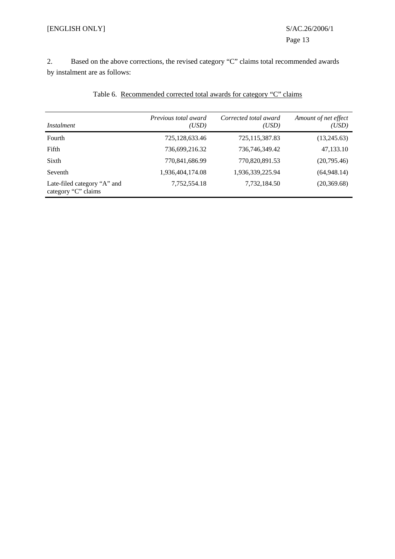2. Based on the above corrections, the revised category "C" claims total recommended awards by instalment are as follows:

| Instalment                                         | Previous total award<br>(USD) | Corrected total award<br>(USD) | Amount of net effect<br>'USD) |
|----------------------------------------------------|-------------------------------|--------------------------------|-------------------------------|
| Fourth                                             | 725, 128, 633. 46             | 725,115,387.83                 | (13,245.63)                   |
| Fifth                                              | 736,699,216.32                | 736,746,349.42                 | 47,133.10                     |
| Sixth                                              | 770,841,686.99                | 770,820,891.53                 | (20,795.46)                   |
| Seventh                                            | 1,936,404,174.08              | 1,936,339,225.94               | (64,948,14)                   |
| Late-filed category "A" and<br>category "C" claims | 7,752,554.18                  | 7,732,184.50                   | (20, 369.68)                  |

# Table 6. Recommended corrected total awards for category "C" claims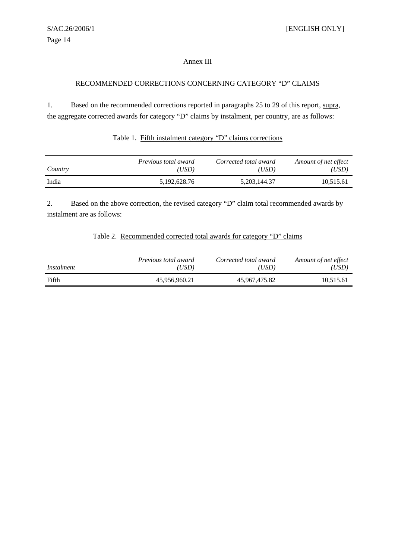#### Annex III

#### RECOMMENDED CORRECTIONS CONCERNING CATEGORY "D" CLAIMS

1. Based on the recommended corrections reported in paragraphs 25 to 29 of this report, supra, the aggregate corrected awards for category "D" claims by instalment, per country, are as follows:

#### Table 1. Fifth instalment category "D" claims corrections

| Country | <i>Previous total award</i> | Corrected total award | Amount of net effect |
|---------|-----------------------------|-----------------------|----------------------|
|         | USD                         | (USD)                 | 'USD)                |
| India   | 5,192,628.76                | 5, 203, 144. 37       | 10,515.61            |

2. Based on the above correction, the revised category "D" claim total recommended awards by instalment are as follows:

#### Table 2. Recommended corrected total awards for category "D" claims

| Instalment | Previous total award | Corrected total award | Amount of net effect |
|------------|----------------------|-----------------------|----------------------|
|            | 'USD)                | (USD)                 | (USD)                |
| Fifth      | 45,956,960.21        | 45.967.475.82         | 10,515.61            |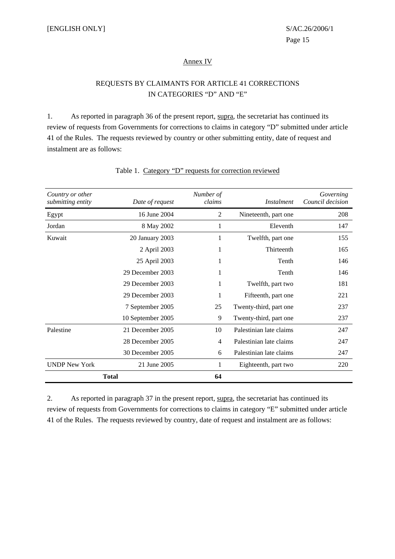#### Annex IV

# REQUESTS BY CLAIMANTS FOR ARTICLE 41 CORRECTIONS IN CATEGORIES "D" AND "E"

1. As reported in paragraph 36 of the present report, supra, the secretariat has continued its review of requests from Governments for corrections to claims in category "D" submitted under article 41 of the Rules. The requests reviewed by country or other submitting entity, date of request and instalment are as follows:

| Country or other<br>submitting entity | Date of request   | Number of<br>claims | <i>Instalment</i>       | Governing<br>Council decision |
|---------------------------------------|-------------------|---------------------|-------------------------|-------------------------------|
| Egypt                                 | 16 June 2004      | $\overline{2}$      | Nineteenth, part one    | 208                           |
| Jordan                                | 8 May 2002        | 1                   | Eleventh                | 147                           |
| Kuwait                                | 20 January 2003   | 1                   | Twelfth, part one       | 155                           |
|                                       | 2 April 2003      | 1                   | Thirteenth              | 165                           |
|                                       | 25 April 2003     | 1                   | Tenth                   | 146                           |
|                                       | 29 December 2003  | 1                   | Tenth                   | 146                           |
|                                       | 29 December 2003  | 1                   | Twelfth, part two       | 181                           |
|                                       | 29 December 2003  | 1                   | Fifteenth, part one     | 221                           |
|                                       | 7 September 2005  | 25                  | Twenty-third, part one  | 237                           |
|                                       | 10 September 2005 | 9                   | Twenty-third, part one  | 237                           |
| Palestine                             | 21 December 2005  | 10                  | Palestinian late claims | 247                           |
|                                       | 28 December 2005  | 4                   | Palestinian late claims | 247                           |
|                                       | 30 December 2005  | 6                   | Palestinian late claims | 247                           |
| <b>UNDP New York</b>                  | 21 June 2005      | 1                   | Eighteenth, part two    | 220                           |
|                                       | <b>Total</b>      | 64                  |                         |                               |

## Table 1. Category "D" requests for correction reviewed

2. As reported in paragraph 37 in the present report, supra, the secretariat has continued its review of requests from Governments for corrections to claims in category "E" submitted under article 41 of the Rules. The requests reviewed by country, date of request and instalment are as follows: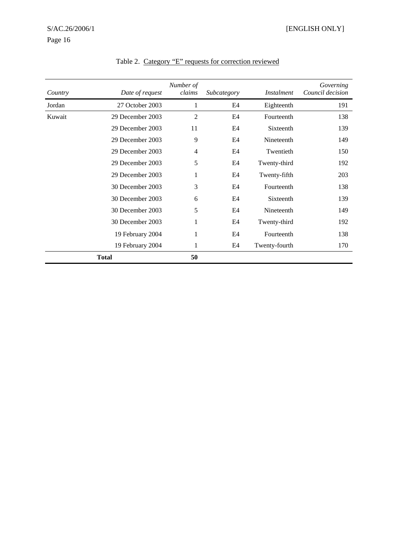| Country | Date of request  | Number of<br>claims | Subcategory | <i>Instalment</i> | Governing<br>Council decision |
|---------|------------------|---------------------|-------------|-------------------|-------------------------------|
| Jordan  | 27 October 2003  | 1                   | E4          | Eighteenth        | 191                           |
| Kuwait  | 29 December 2003 | $\overline{2}$      | E4          | Fourteenth        | 138                           |
|         | 29 December 2003 | 11                  | E4          | Sixteenth         | 139                           |
|         | 29 December 2003 | 9                   | E4          | Nineteenth        | 149                           |
|         | 29 December 2003 | $\overline{4}$      | E4          | Twentieth         | 150                           |
|         | 29 December 2003 | 5                   | E4          | Twenty-third      | 192                           |
|         | 29 December 2003 | 1                   | E4          | Twenty-fifth      | 203                           |
|         | 30 December 2003 | 3                   | E4          | Fourteenth        | 138                           |
|         | 30 December 2003 | 6                   | E4          | Sixteenth         | 139                           |
|         | 30 December 2003 | 5                   | E4          | Nineteenth        | 149                           |
|         | 30 December 2003 | 1                   | E4          | Twenty-third      | 192                           |
|         | 19 February 2004 | 1                   | E4          | Fourteenth        | 138                           |
|         | 19 February 2004 | 1                   | E4          | Twenty-fourth     | 170                           |
|         | <b>Total</b>     | 50                  |             |                   |                               |

Table 2. Category "E" requests for correction reviewed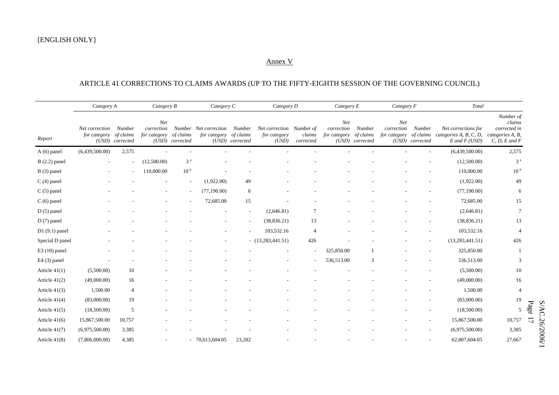#### Annex V

#### ARTICLE 41 CORRECTIONS TO CLAIMS AWARDS (UP TO THE FIFTY-EIGHTH SESSION OF THE GOVERNING COUNCIL)

|                 |                                | Category A                             |                                   | Category B                   |                                       | Category C                             |                                                   | Category D               |                                   | Category E                             |                                   | Category F                             | Total                                                              |                                                                              |  |
|-----------------|--------------------------------|----------------------------------------|-----------------------------------|------------------------------|---------------------------------------|----------------------------------------|---------------------------------------------------|--------------------------|-----------------------------------|----------------------------------------|-----------------------------------|----------------------------------------|--------------------------------------------------------------------|------------------------------------------------------------------------------|--|
| Report          | Net correction<br>for category | Number<br>of claims<br>(USD) corrected | Net<br>correction<br>for category | of claims<br>(USD) corrected | Number Net correction<br>for category | Number<br>of claims<br>(USD) corrected | Net correction Number of<br>for category<br>(USD) | claims<br>corrected      | Net<br>correction<br>for category | Number<br>of claims<br>(USD) corrected | Net<br>correction<br>for category | Number<br>of claims<br>(USD) corrected | Net corrections for<br>categories A, B, C, D,<br>$E$ and $F$ (USD) | Number of<br>claims<br>corrected in<br>categories A, B,<br>$C, D, E$ and $F$ |  |
| $A(6)$ panel    | (6,439,500.00)                 | 2,575                                  |                                   |                              |                                       |                                        |                                                   |                          |                                   |                                        |                                   |                                        | (6,439,500.00)                                                     | 2,575                                                                        |  |
| $B(2.2)$ panel  |                                |                                        | (12,500.00)                       | 3 <sup>a</sup>               |                                       |                                        |                                                   |                          |                                   |                                        |                                   |                                        | (12,500.00)                                                        | 3 <sup>a</sup>                                                               |  |
| $B(3)$ panel    |                                |                                        | 110,000.00                        | 10 <sup>b</sup>              |                                       |                                        |                                                   |                          |                                   |                                        |                                   |                                        | 110,000.00                                                         | 10 <sup>b</sup>                                                              |  |
| $C(4)$ panel    |                                |                                        |                                   |                              | (1,922.00)                            | 49                                     |                                                   |                          |                                   |                                        |                                   |                                        | (1,922.00)                                                         | 49                                                                           |  |
| $C(5)$ panel    |                                |                                        |                                   |                              | (77,190.00)                           | 6                                      |                                                   |                          |                                   |                                        |                                   |                                        | (77,190.00)                                                        | 6                                                                            |  |
| $C(6)$ panel    |                                |                                        |                                   |                              | 72,685.00                             | 15                                     |                                                   |                          |                                   |                                        |                                   |                                        | 72,685.00                                                          | 15                                                                           |  |
| $D(5)$ panel    |                                |                                        |                                   |                              |                                       |                                        | (2,646.81)                                        | $\overline{7}$           |                                   |                                        |                                   |                                        | (2,646.81)                                                         | $7\phantom{.0}$                                                              |  |
| $D(7)$ panel    |                                |                                        |                                   |                              |                                       |                                        | (38, 836.21)                                      | 13                       |                                   |                                        |                                   |                                        | (38, 836.21)                                                       | 13                                                                           |  |
| $D1(9.1)$ panel |                                |                                        |                                   |                              |                                       |                                        | 103,532.16                                        | 4                        |                                   |                                        |                                   |                                        | 103,532.16                                                         | $\overline{4}$                                                               |  |
| Special D panel |                                |                                        |                                   |                              |                                       |                                        | $-$ (13,283,441.51)                               | 426                      |                                   |                                        |                                   |                                        | (13, 283, 441.51)                                                  | 426                                                                          |  |
| $E3(10)$ panel  |                                |                                        |                                   |                              |                                       |                                        |                                                   | $\overline{\phantom{a}}$ | 325,850.00                        |                                        |                                   |                                        | 325,850.00                                                         |                                                                              |  |
| $E4(3)$ panel   |                                |                                        |                                   |                              |                                       |                                        |                                                   |                          | 536,513.00                        | 3                                      |                                   |                                        | 536,513.00                                                         | 3                                                                            |  |
| Article 41(1)   | (5,500.00)                     | 10                                     |                                   |                              |                                       |                                        |                                                   |                          |                                   |                                        |                                   |                                        | (5,500.00)                                                         | 10                                                                           |  |
| Article $41(2)$ | (49,000.00)                    | 16                                     |                                   |                              |                                       |                                        |                                                   |                          |                                   |                                        |                                   |                                        | (49,000.00)                                                        | 16                                                                           |  |
| Article $41(3)$ | 1,500.00                       | $\overline{4}$                         |                                   |                              |                                       |                                        |                                                   |                          |                                   |                                        |                                   |                                        | 1,500.00                                                           | $\overline{4}$                                                               |  |
| Article $41(4)$ | (83,000.00)                    | 19                                     |                                   |                              |                                       |                                        |                                                   |                          |                                   |                                        |                                   |                                        | (83,000.00)                                                        | 19                                                                           |  |
| Article $41(5)$ | (18,500.00)                    | 5                                      |                                   |                              |                                       |                                        |                                                   |                          |                                   |                                        |                                   |                                        | (18,500.00)                                                        | 5                                                                            |  |
| Article $41(6)$ | 15,867,500.00                  | 10,757                                 |                                   |                              |                                       |                                        |                                                   |                          |                                   |                                        |                                   |                                        | 15,867,500.00                                                      | 10,757                                                                       |  |
| Article 41(7)   | (6,975,500.00)                 | 3,385                                  |                                   |                              |                                       |                                        |                                                   |                          |                                   |                                        |                                   |                                        | (6,975,500.00)                                                     | 3,385                                                                        |  |
| Article $41(8)$ | (7,806,000.00)                 | 4,385                                  |                                   |                              | $-70,613,604.05$                      | 23,282                                 |                                                   |                          |                                   |                                        |                                   |                                        | 62,807,604.05                                                      | 27,667                                                                       |  |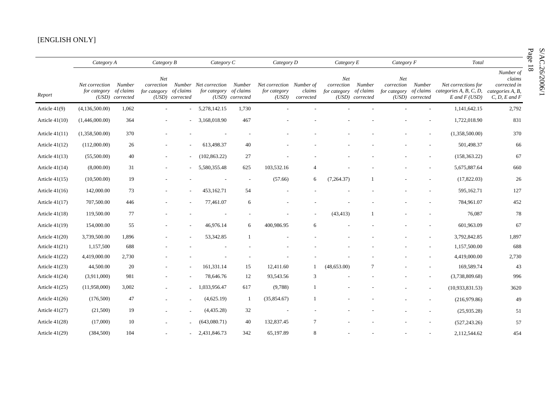#### [ENGLISH ONLY]

|                  |                                       | Category A<br>Category B<br>Category C |                                   |                              |                                       | Category D                             | Category E                                        |                     | Category F                        |                                        | Total                                       |                           | Page                                                               |                                                                              |                |
|------------------|---------------------------------------|----------------------------------------|-----------------------------------|------------------------------|---------------------------------------|----------------------------------------|---------------------------------------------------|---------------------|-----------------------------------|----------------------------------------|---------------------------------------------|---------------------------|--------------------------------------------------------------------|------------------------------------------------------------------------------|----------------|
| Report           | Net correction Number<br>for category | of claims<br>(USD) corrected           | Net<br>correction<br>for category | of claims<br>(USD) corrected | Number Net correction<br>for category | Number<br>of claims<br>(USD) corrected | Net correction Number of<br>for category<br>(USD) | claims<br>corrected | Net<br>correction<br>for category | Number<br>of claims<br>(USD) corrected | Net<br>correction<br>for category of claims | Number<br>(USD) corrected | Net corrections for<br>categories A, B, C, D,<br>$E$ and $F$ (USD) | Number of<br>claims<br>corrected in<br>categories A, B,<br>$C, D, E$ and $F$ | $\overline{8}$ |
| Article $41(9)$  | (4,136,500.00)                        | 1,062                                  | $\sim$                            |                              | $-5,278,142.15$                       | 1,730                                  |                                                   |                     |                                   |                                        |                                             |                           | 1,141,642.15                                                       | 2,792                                                                        |                |
| Article $41(10)$ | (1,446,000.00)                        | 364                                    | $\overline{\phantom{a}}$          |                              | $-3,168,018.90$                       | 467                                    |                                                   |                     |                                   |                                        |                                             |                           | 1,722,018.90                                                       | 831                                                                          |                |
| Article $41(11)$ | (1,358,500.00)                        | 370                                    |                                   |                              |                                       |                                        |                                                   |                     |                                   |                                        |                                             |                           | (1,358,500.00)                                                     | 370                                                                          |                |
| Article $41(12)$ | (112,000.00)                          | 26                                     |                                   |                              | 613,498.37                            | 40                                     |                                                   |                     |                                   |                                        |                                             |                           | 501,498.37                                                         | 66                                                                           |                |
| Article $41(13)$ | (55,500.00)                           | 40                                     | $\overline{\phantom{a}}$          |                              | (102, 863.22)                         | 27                                     |                                                   |                     |                                   |                                        |                                             |                           | (158, 363.22)                                                      | 67                                                                           |                |
| Article $41(14)$ | (8,000.00)                            | 31                                     |                                   |                              | 5,580,355.48                          | 625                                    | 103,532.16                                        | $\overline{4}$      |                                   |                                        |                                             |                           | 5,675,887.64                                                       | 660                                                                          |                |
| Article $41(15)$ | (10,500.00)                           | 19                                     |                                   |                              |                                       | $\sim$                                 | (57.66)                                           | 6                   | (7,264.37)                        |                                        |                                             |                           | (17,822.03)                                                        | 26                                                                           |                |
| Article $41(16)$ | 142,000.00                            | 73                                     |                                   |                              | 453,162.71                            | 54                                     |                                                   |                     |                                   |                                        |                                             |                           | 595,162.71                                                         | 127                                                                          |                |
| Article 41(17)   | 707,500.00                            | 446                                    |                                   |                              | 77,461.07                             | 6                                      |                                                   |                     |                                   |                                        |                                             |                           | 784,961.07                                                         | 452                                                                          |                |
| Article $41(18)$ | 119,500.00                            | 77                                     |                                   |                              |                                       |                                        |                                                   |                     | (43, 413)                         |                                        |                                             |                           | 76,087                                                             | 78                                                                           |                |
| Article $41(19)$ | 154,000.00                            | 55                                     |                                   |                              | 46,976.14                             | 6                                      | 400,986.95                                        | 6                   |                                   |                                        |                                             |                           | 601,963.09                                                         | 67                                                                           |                |
| Article $41(20)$ | 3,739,500.00                          | 1,896                                  |                                   |                              | 53,342.85                             | $\overline{1}$                         |                                                   |                     |                                   |                                        |                                             | $\overline{a}$            | 3,792,842.85                                                       | 1,897                                                                        |                |
| Article $41(21)$ | 1,157,500                             | 688                                    |                                   |                              |                                       |                                        |                                                   |                     |                                   |                                        |                                             |                           | 1,157,500.00                                                       | 688                                                                          |                |
| Article $41(22)$ | 4,419,000.00                          | 2,730                                  |                                   |                              |                                       |                                        |                                                   |                     |                                   |                                        |                                             | $\overline{\phantom{m}}$  | 4,419,000.00                                                       | 2,730                                                                        |                |
| Article $41(23)$ | 44,500.00                             | 20                                     |                                   |                              | 161,331.14                            | 15                                     | 12,411.60                                         | $\mathbf{1}$        | (48, 653.00)                      | 7                                      |                                             |                           | 169,589.74                                                         | 43                                                                           |                |
| Article $41(24)$ | (3,911,000)                           | 981                                    |                                   |                              | 78,646.76                             | 12                                     | 93,543.56                                         | 3                   |                                   |                                        |                                             |                           | (3,738,809.68)                                                     | 996                                                                          |                |
| Article $41(25)$ | (11,958,000)                          | 3,002                                  |                                   |                              | 1,033,956.47                          | 617                                    | (9,788)                                           | -1                  |                                   |                                        |                                             | $\overline{\phantom{a}}$  | (10,933,831.53)                                                    | 3620                                                                         |                |
| Article 41(26)   | (176,500)                             | 47                                     |                                   |                              | (4,625.19)                            | -1                                     | (35,854.67)                                       |                     |                                   |                                        |                                             |                           | (216,979.86)                                                       | 49                                                                           |                |
| Article $41(27)$ | (21,500)                              | 19                                     |                                   |                              | (4,435.28)                            | 32                                     |                                                   |                     |                                   |                                        |                                             |                           | (25,935.28)                                                        | 51                                                                           |                |
| Article $41(28)$ | (17,000)                              | 10                                     |                                   |                              | (643,080.71)                          | 40                                     | 132,837.45                                        | $\tau$              |                                   |                                        |                                             |                           | (527, 243.26)                                                      | 57                                                                           |                |
| Article $41(29)$ | (384, 500)                            | 104                                    |                                   |                              | 2,431,846.73                          | 342                                    | 65,197.89                                         | 8                   |                                   |                                        |                                             | $\overline{\phantom{a}}$  | 2,112,544.62                                                       | 454                                                                          |                |

Page 18